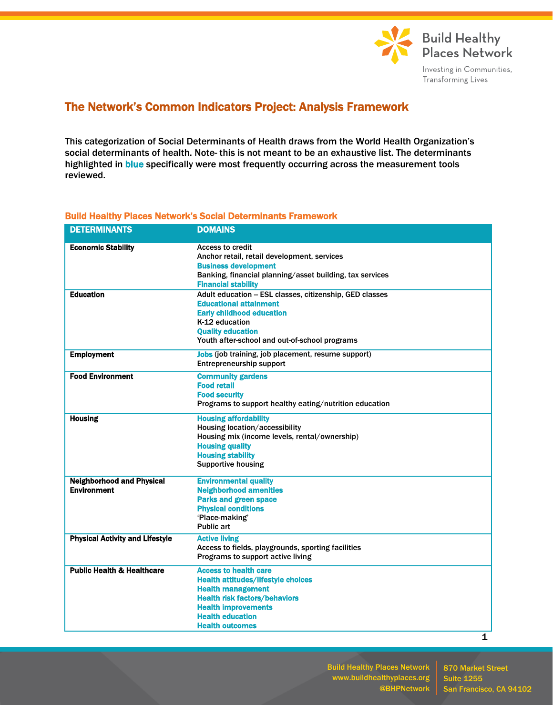

## The Network's Common Indicators Project: Analysis Framework

This categorization of Social Determinants of Health draws from the World Health Organization's social determinants of health. Note- this is not meant to be an exhaustive list. The determinants highlighted in blue specifically were most frequently occurring across the measurement tools reviewed.

| <b>DETERMINANTS</b>                    | <b>DOMAINS</b>                                           |
|----------------------------------------|----------------------------------------------------------|
| <b>Economic Stability</b>              | <b>Access to credit</b>                                  |
|                                        | Anchor retail, retail development, services              |
|                                        | <b>Business development</b>                              |
|                                        | Banking, financial planning/asset building, tax services |
|                                        | <b>Financial stability</b>                               |
| <b>Education</b>                       | Adult education - ESL classes, citizenship, GED classes  |
|                                        | <b>Educational attainment</b>                            |
|                                        | <b>Early childhood education</b><br>K-12 education       |
|                                        | <b>Quality education</b>                                 |
|                                        | Youth after-school and out-of-school programs            |
|                                        |                                                          |
| <b>Employment</b>                      | Jobs (job training, job placement, resume support)       |
|                                        | <b>Entrepreneurship support</b>                          |
| <b>Food Environment</b>                | <b>Community gardens</b>                                 |
|                                        | <b>Food retail</b>                                       |
|                                        | <b>Food security</b>                                     |
|                                        | Programs to support healthy eating/nutrition education   |
| <b>Housing</b>                         | <b>Housing affordability</b>                             |
|                                        | Housing location/accessibility                           |
|                                        | Housing mix (income levels, rental/ownership)            |
|                                        | <b>Housing quality</b>                                   |
|                                        | <b>Housing stability</b>                                 |
|                                        | <b>Supportive housing</b>                                |
| <b>Neighborhood and Physical</b>       | <b>Environmental quality</b>                             |
| <b>Environment</b>                     | <b>Neighborhood amenities</b>                            |
|                                        | <b>Parks and green space</b>                             |
|                                        | <b>Physical conditions</b>                               |
|                                        | 'Place-making'                                           |
|                                        | <b>Public art</b>                                        |
| <b>Physical Activity and Lifestyle</b> | <b>Active living</b>                                     |
|                                        | Access to fields, playgrounds, sporting facilities       |
|                                        | Programs to support active living                        |
| <b>Public Health &amp; Healthcare</b>  | <b>Access to health care</b>                             |
|                                        | <b>Health attitudes/lifestyle choices</b>                |
|                                        | <b>Health management</b>                                 |
|                                        | <b>Health risk factors/behaviors</b>                     |
|                                        | <b>Health improvements</b>                               |
|                                        | <b>Health education</b>                                  |
|                                        | <b>Health outcomes</b>                                   |
|                                        | 1                                                        |

## Build Healthy Places Network's Social Determinants Framework

Build Healthy Places Network www.buildhealthyplaces.org @BHPNetwork